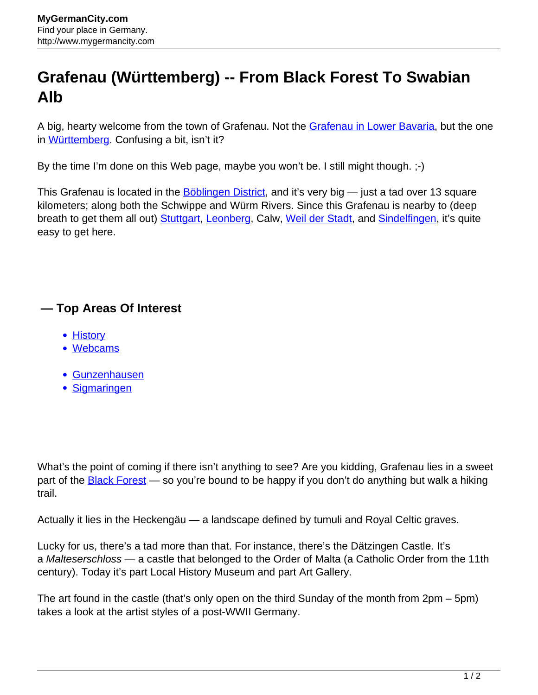## **Grafenau (Württemberg) -- From Black Forest To Swabian Alb**

A big, hearty welcome from the town of Grafenau. Not the [Grafenau in Lower Bavaria,](http://www.mygermancity.com/grafenau-lower-bavaria) but the one in [Württemberg.](http://www.mygermancity.com/wuerttemberg) Confusing a bit, isn't it?

By the time I'm done on this Web page, maybe you won't be. I still might though. ;-)

This Grafenau is located in the **Böblingen District**, and it's very big — just a tad over 13 square kilometers; along both the Schwippe and Würm Rivers. Since this Grafenau is nearby to (deep breath to get them all out) [Stuttgart,](http://www.mygermancity.com/stuttgart) [Leonberg](http://www.mygermancity.com/leonberg), Calw, [Weil der Stadt,](http://www.mygermancity.com/weil-der-stadt) and [Sindelfingen,](http://www.mygermancity.com/sindelfingen) it's quite easy to get here.

## **— Top Areas Of Interest**

- [History](http://www.mygermancity.com/leipzig-history)
- [Webcams](http://www.mygermancity.com/neustadt-holstein-webcams)
- [Gunzenhausen](http://www.mygermancity.com/gunzenhausen)
- [Sigmaringen](http://www.mygermancity.com/sigmaringen)

What's the point of coming if there isn't anything to see? Are you kidding, Grafenau lies in a sweet part of the **Black Forest** — so you're bound to be happy if you don't do anything but walk a hiking trail.

Actually it lies in the Heckengäu — a landscape defined by tumuli and Royal Celtic graves.

Lucky for us, there's a tad more than that. For instance, there's the Dätzingen Castle. It's a Malteserschloss — a castle that belonged to the Order of Malta (a Catholic Order from the 11th century). Today it's part Local History Museum and part Art Gallery.

The art found in the castle (that's only open on the third Sunday of the month from 2pm – 5pm) takes a look at the artist styles of a post-WWII Germany.